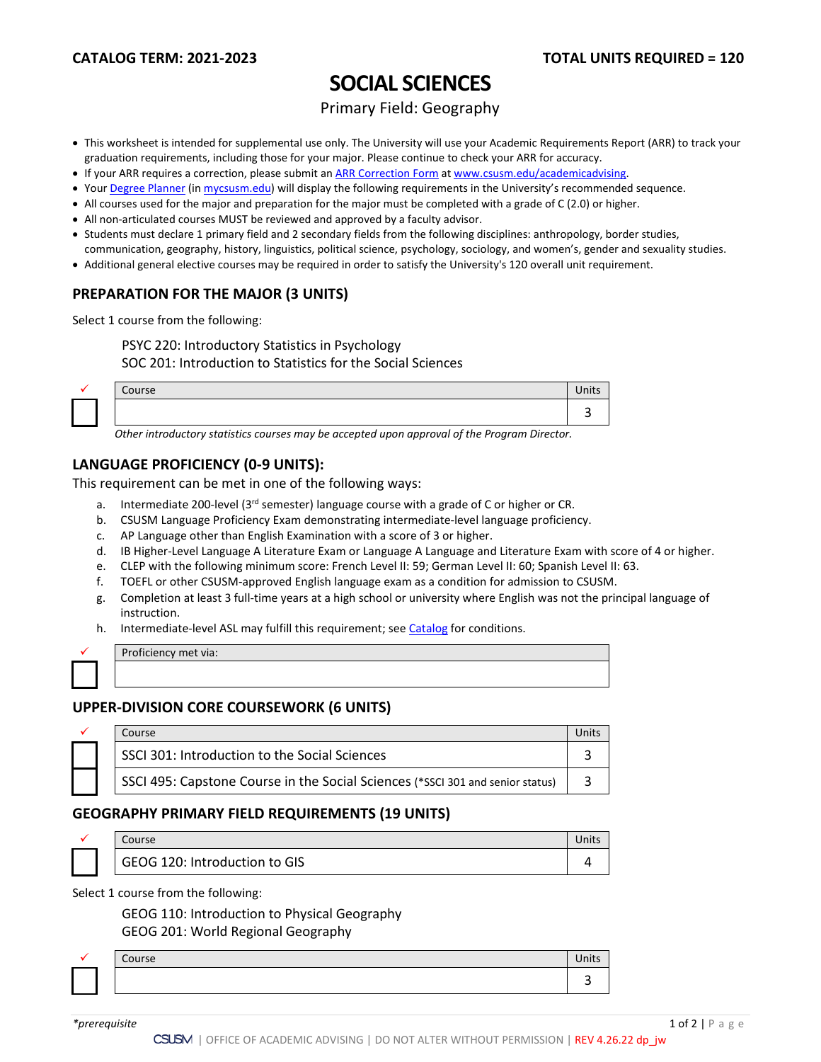# **SOCIAL SCIENCES**

Primary Field: Geography

- This worksheet is intended for supplemental use only. The University will use your Academic Requirements Report (ARR) to track your graduation requirements, including those for your major. Please continue to check your ARR for accuracy.
- If your ARR requires a correction, please submit an [ARR Correction Form](http://www.csusm.edu/academicadvising/arrcorrection/index.html) a[t www.csusm.edu/academicadvising.](http://www.csusm.edu/academicadvising)
- You[r Degree Planner](https://www.csusm.edu/academicadvising/degreeplanner/index.html) (i[n mycsusm.edu\)](https://my.csusm.edu/) will display the following requirements in the University's recommended sequence.
- All courses used for the major and preparation for the major must be completed with a grade of C (2.0) or higher.
- All non-articulated courses MUST be reviewed and approved by a faculty advisor.
- Students must declare 1 primary field and 2 secondary fields from the following disciplines: anthropology, border studies,
- communication, geography, history, linguistics, political science, psychology, sociology, and women's, gender and sexuality studies.
- Additional general elective courses may be required in order to satisfy the University's 120 overall unit requirement.

### **PREPARATION FOR THE MAJOR (3 UNITS)**

Select 1 course from the following:

PSYC 220: Introductory Statistics in Psychology

SOC 201: Introduction to Statistics for the Social Sciences

| Course | $11 - 14$<br>UIILJ |
|--------|--------------------|
|        |                    |

*Other introductory statistics courses may be accepted upon approval of the Program Director.*

### **LANGUAGE PROFICIENCY (0-9 UNITS):**

This requirement can be met in one of the following ways:

- a. Intermediate 200-level ( $3<sup>rd</sup>$  semester) language course with a grade of C or higher or CR.
- b. CSUSM Language Proficiency Exam demonstrating intermediate-level language proficiency.
- c. AP Language other than English Examination with a score of 3 or higher.
- d. IB Higher-Level Language A Literature Exam or Language A Language and Literature Exam with score of 4 or higher.
- e. CLEP with the following minimum score: French Level II: 59; German Level II: 60; Spanish Level II: 63.
- f. TOEFL or other CSUSM-approved English language exam as a condition for admission to CSUSM.
- g. Completion at least 3 full-time years at a high school or university where English was not the principal language of instruction.
- h. Intermediate-level ASL may fulfill this requirement; see [Catalog](http://catalog.csusm.edu/) for conditions.

| Proficiency met via: |
|----------------------|
|                      |

#### **UPPER-DIVISION CORE COURSEWORK (6 UNITS)**

|  | Coursel                                                                        |  |
|--|--------------------------------------------------------------------------------|--|
|  | SSCI 301: Introduction to the Social Sciences                                  |  |
|  | SSCI 495: Capstone Course in the Social Sciences (*SSCI 301 and senior status) |  |

#### **GEOGRAPHY PRIMARY FIELD REQUIREMENTS (19 UNITS)**

|  | Course                        |  |
|--|-------------------------------|--|
|  | GEOG 120: Introduction to GIS |  |

#### Select 1 course from the following:

GEOG 110: Introduction to Physical Geography GEOG 201: World Regional Geography

| $\sim$ |  |
|--------|--|
|        |  |